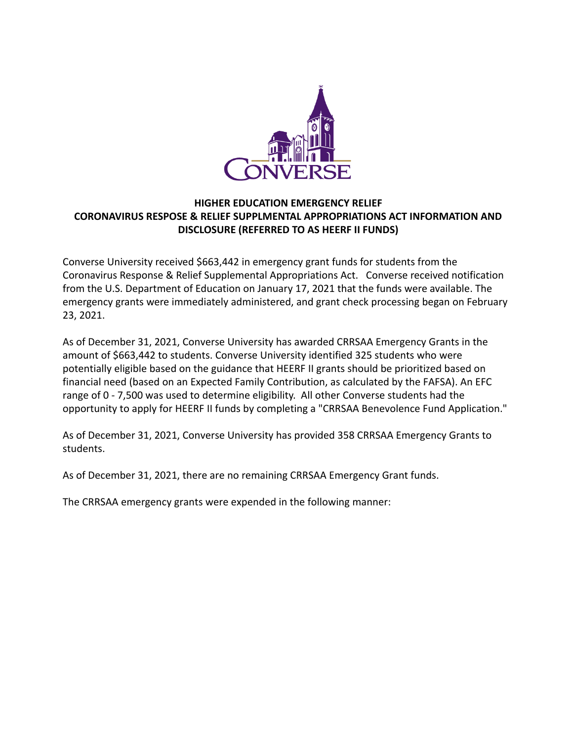

#### **HIGHER EDUCATION EMERGENCY RELIEF CORONAVIRUS RESPOSE & RELIEF SUPPLMENTAL APPROPRIATIONS ACT INFORMATION AND DISCLOSURE (REFERRED TO AS HEERF II FUNDS)**

Converse University received \$663,442 in emergency grant funds for students from the Coronavirus Response & Relief Supplemental Appropriations Act. Converse received notification from the U.S. Department of Education on January 17, 2021 that the funds were available. The emergency grants were immediately administered, and grant check processing began on February 23, 2021.

As of December 31, 2021, Converse University has awarded CRRSAA Emergency Grants in the amount of \$663,442 to students. Converse University identified 325 students who were potentially eligible based on the guidance that HEERF II grants should be prioritized based on financial need (based on an Expected Family Contribution, as calculated by the FAFSA). An EFC range of 0 - 7,500 was used to determine eligibility. All other Converse students had the opportunity to apply for HEERF II funds by completing a "CRRSAA Benevolence Fund Application."

As of December 31, 2021, Converse University has provided 358 CRRSAA Emergency Grants to students.

As of December 31, 2021, there are no remaining CRRSAA Emergency Grant funds.

The CRRSAA emergency grants were expended in the following manner: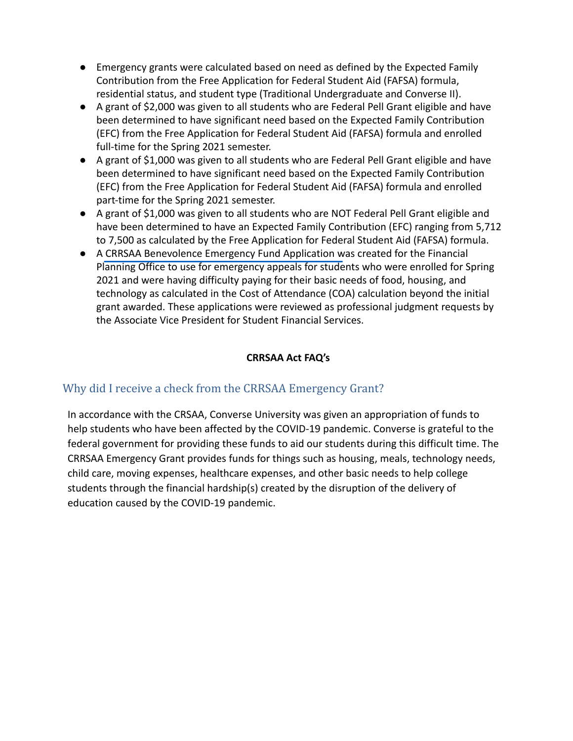- Emergency grants were calculated based on need as defined by the Expected Family Contribution from the Free Application for Federal Student Aid (FAFSA) formula, residential status, and student type (Traditional Undergraduate and Converse II).
- A grant of \$2,000 was given to all students who are Federal Pell Grant eligible and have been determined to have significant need based on the Expected Family Contribution (EFC) from the Free Application for Federal Student Aid (FAFSA) formula and enrolled full-time for the Spring 2021 semester.
- A grant of \$1,000 was given to all students who are Federal Pell Grant eligible and have been determined to have significant need based on the Expected Family Contribution (EFC) from the Free Application for Federal Student Aid (FAFSA) formula and enrolled part-time for the Spring 2021 semester.
- A grant of \$1,000 was given to all students who are NOT Federal Pell Grant eligible and have been determined to have an Expected Family Contribution (EFC) ranging from 5,712 to 7,500 as calculated by the Free Application for Federal Student Aid (FAFSA) formula.
- A CRRSAA Benevolence Emergency Fund Application was created for the Financial Planning Office to use for emergency appeals for students who were enrolled for Spring 2021 and were having difficulty paying for their basic needs of food, housing, and technology as calculated in the Cost of Attendance (COA) calculation beyond the initial grant awarded. These applications were reviewed as professional judgment requests by the Associate Vice President for Student Financial Services.

#### **CRRSAA Act FAQ's**

### Why did I receive a check from the CRRSAA Emergency Grant?

In accordance with the CRSAA, Converse University was given an appropriation of funds to help students who have been affected by the COVID-19 pandemic. Converse is grateful to the federal government for providing these funds to aid our students during this difficult time. The CRRSAA Emergency Grant provides funds for things such as housing, meals, technology needs, child care, moving expenses, healthcare expenses, and other basic needs to help college students through the financial hardship(s) created by the disruption of the delivery of education caused by the COVID-19 pandemic.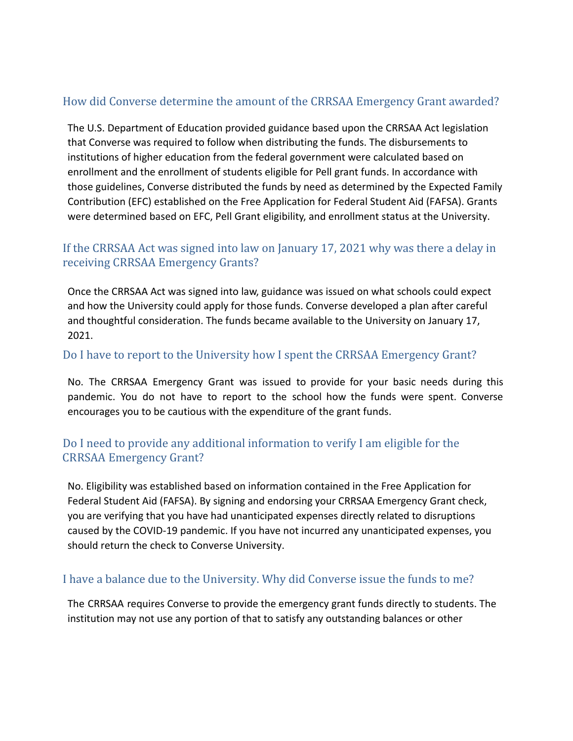# How did Converse determine the amount of the CRRSAA Emergency Grant awarded?

The U.S. Department of Education provided guidance based upon the CRRSAA Act legislation that Converse was required to follow when distributing the funds. The disbursements to institutions of higher education from the federal government were calculated based on enrollment and the enrollment of students eligible for Pell grant funds. In accordance with those guidelines, Converse distributed the funds by need as determined by the Expected Family Contribution (EFC) established on the Free Application for Federal Student Aid (FAFSA). Grants were determined based on EFC, Pell Grant eligibility, and enrollment status at the University.

# If the CRRSAA Act was signed into law on January 17, 2021 why was there a delay in receiving CRRSAA Emergency Grants?

Once the CRRSAA Act was signed into law, guidance was issued on what schools could expect and how the University could apply for those funds. Converse developed a plan after careful and thoughtful consideration. The funds became available to the University on January 17, 2021.

#### Do I have to report to the University how I spent the CRRSAA Emergency Grant?

No. The CRRSAA Emergency Grant was issued to provide for your basic needs during this pandemic. You do not have to report to the school how the funds were spent. Converse encourages you to be cautious with the expenditure of the grant funds.

### Do I need to provide any additional information to verify I am eligible for the CRRSAA Emergency Grant?

No. Eligibility was established based on information contained in the Free Application for Federal Student Aid (FAFSA). By signing and endorsing your CRRSAA Emergency Grant check, you are verifying that you have had unanticipated expenses directly related to disruptions caused by the COVID-19 pandemic. If you have not incurred any unanticipated expenses, you should return the check to Converse University.

#### I have a balance due to the University. Why did Converse issue the funds to me?

The CRRSAA requires Converse to provide the emergency grant funds directly to students. The institution may not use any portion of that to satisfy any outstanding balances or other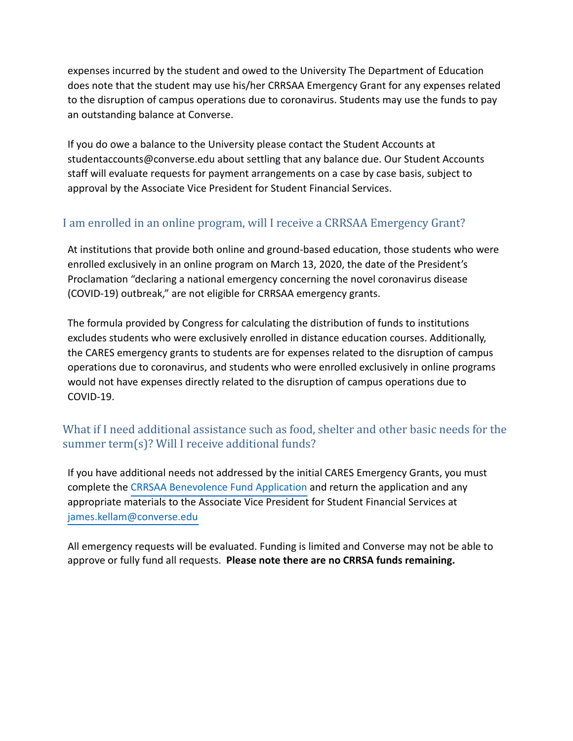expenses incurred by the student and owed to the University The Department of Education does note that the student may use his/her CRRSAA Emergency Grant for any expenses related to the disruption of campus operations due to coronavirus. Students may use the funds to pay an outstanding balance at Converse.

If you do owe a balance to the University please contact the Student Accounts at [studentaccounts@converse.edu](mailto:studentbaccounts@converse.edu%20) about settling that any balance due. Our Student Accounts staff will evaluate requests for payment arrangements on a case by case basis, subject to approval by the Associate Vice President for Student Financial Services.

### I am enrolled in an online program, will I receive a CRRSAA Emergency Grant?

At institutions that provide both online and ground-based education, those students who were enrolled exclusively in an online program on March 13, 2020, the date of the President's Proclamation "declaring a national emergency concerning the novel coronavirus disease (COVID-19) outbreak," are not eligible for CRRSAA emergency grants.

The formula provided by Congress for calculating the distribution of funds to institutions excludes students who were exclusively enrolled in distance education courses. Additionally, the CARES emergency grants to students are for expenses related to the disruption of campus operations due to coronavirus, and students who were enrolled exclusively in online programs would not have expenses directly related to the disruption of campus operations due to COVID-19.

### What if I need additional assistance such as food, shelter and other basic needs for the summer term(s)? Will I receive additional funds?

If you have additional needs not addressed by the initial CARES Emergency Grants, you must complete the CRRSAA Benevolence Fund Application and return the application and any appropriate materials to the Associate Vice President for Student Financial Services at [james.kellam@converse.edu](mailto:james.kellam@converse.edu)

All emergency requests will be evaluated. Funding is limited and Converse may not be able to approve or fully fund all requests. **Please note there are no CRRSA funds remaining.**